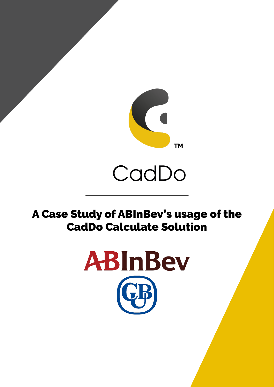

# A Case Study of ABInBev's usage of the CadDo Calculate Solution